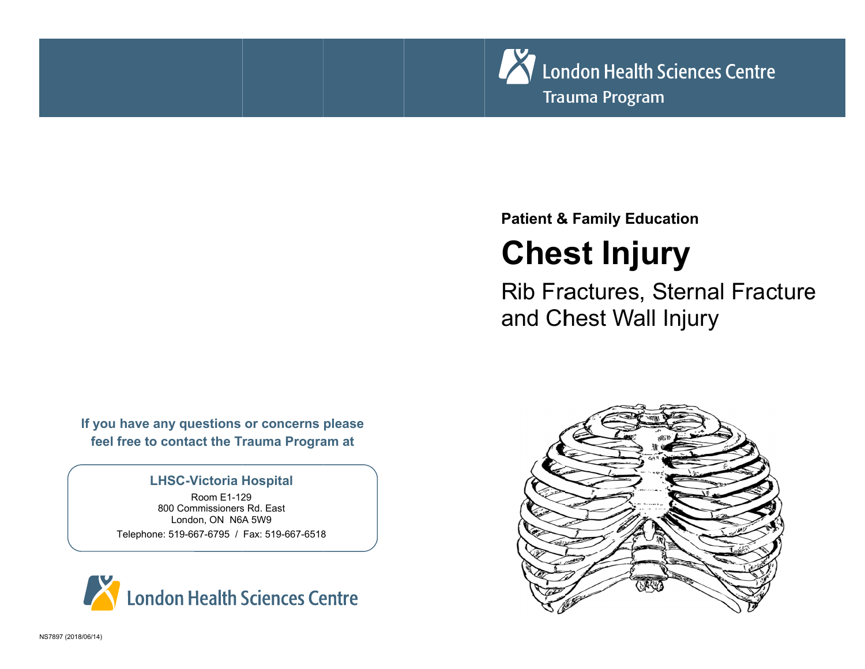

### **Patient & Family Education**

# **Chest Injury**

**Rib Fractures, Sternal Fracture** and Chest Wall Injury

If you have any questions or concerns please feel free to contact the Trauma Program at

#### **LHSC-Victoria Hospital**

Room F1-129 800 Commissioners Rd. East London, ON N6A 5W9 Telephone: 519-667-6795 / Fax: 519-667-6518